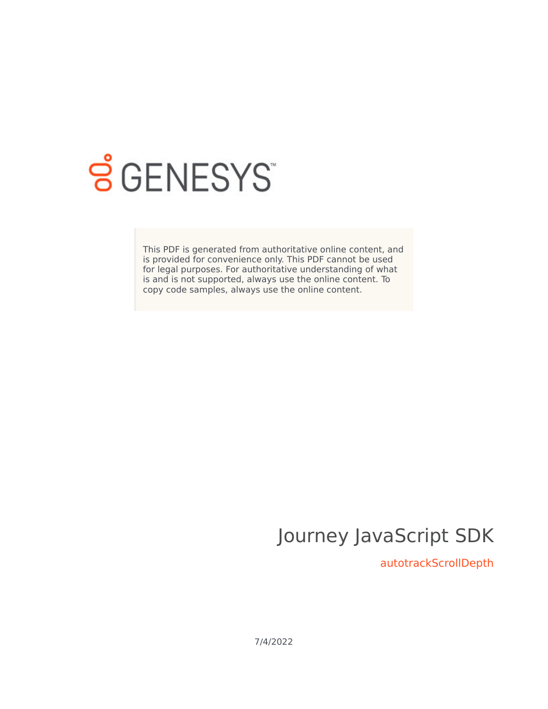

# **S** GENESYS

This PDF is generated from authoritative online content, and is provided for convenience only. This PDF cannot be used for legal purposes. For authoritative understanding of what is and is not supported, always use the online content. To copy code samples, always use the online content.

# Journey JavaScript SDK

autotrackScrollDepth

7/4/2022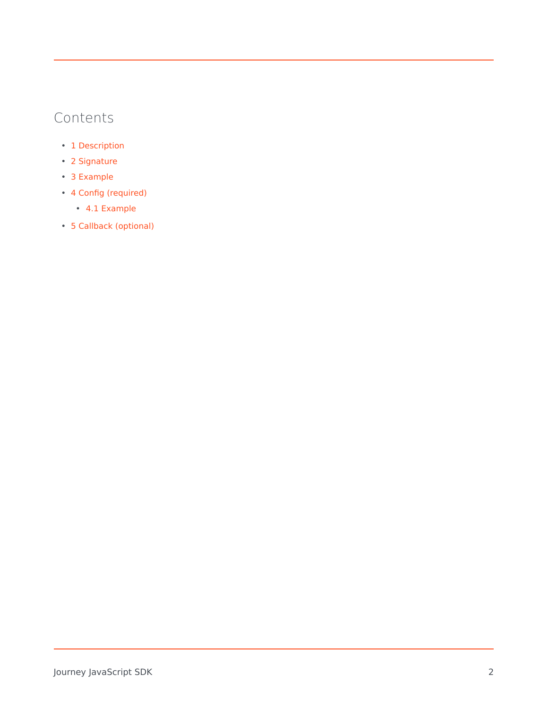### Contents

- 1 [Description](#page-2-0)
- 2 [Signature](#page-2-1)
- 3 [Example](#page-2-2)
- 4 [Config \(required\)](#page-3-0)
	- 4.1 [Example](#page-3-1)
- 5 [Callback \(optional\)](#page-3-2)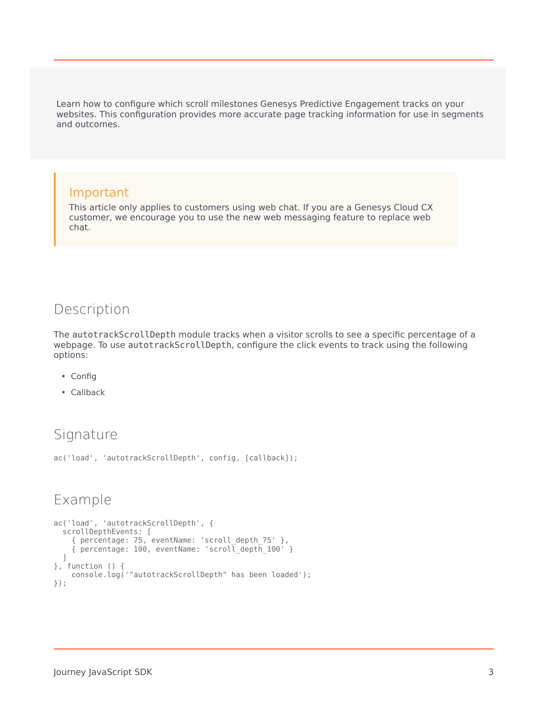Learn how to configure which scroll milestones Genesys Predictive Engagement tracks on your websites. This configuration provides more accurate page tracking information for use in segments and outcomes.

#### Important

This article only applies to customers using web chat. If you are a Genesys Cloud CX customer, we encourage you to use the new web messaging feature to replace web chat.

#### <span id="page-2-0"></span>Description

The autotrackScrollDepth module tracks when a visitor scrolls to see a specific percentage of a webpage. To use autotrackScrollDepth, configure the click events to track using the following options:

- Config
- Callback

#### <span id="page-2-1"></span>Signature

ac('load', 'autotrackScrollDepth', config, [callback]);

#### <span id="page-2-2"></span>Example

```
ac('load', 'autotrackScrollDepth', {
 scrollDepthEvents: [
   { percentage: 75, eventName: 'scroll_depth_75' },
   { percentage: 100, eventName: 'scroll_depth_100' }
 ]
}, function () {
   console.log('"autotrackScrollDepth" has been loaded');
});
```